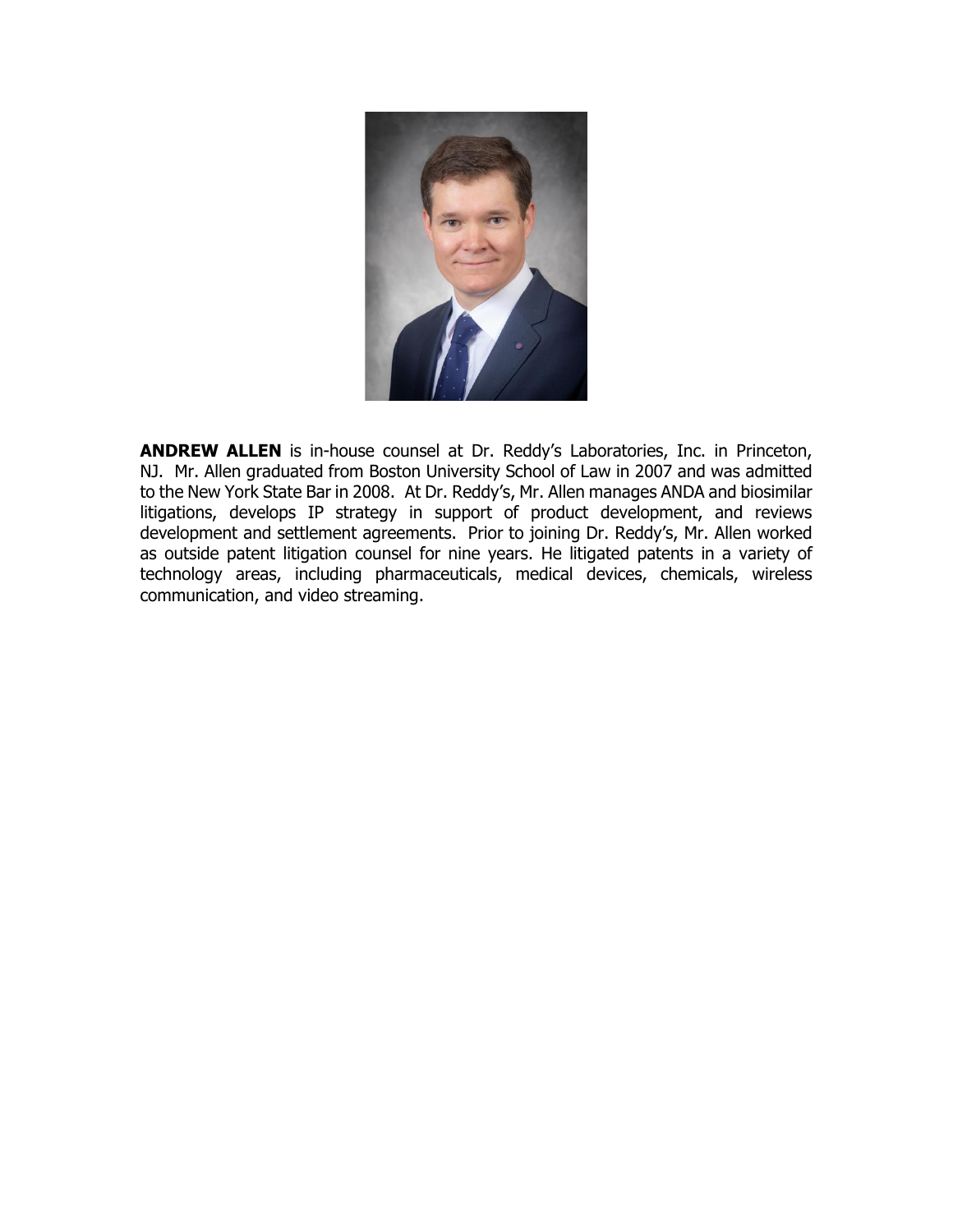

**ANDREW ALLEN** is in-house counsel at Dr. Reddy's Laboratories, Inc. in Princeton, NJ. Mr. Allen graduated from Boston University School of Law in 2007 and was admitted to the New York State Bar in 2008. At Dr. Reddy's, Mr. Allen manages ANDA and biosimilar litigations, develops IP strategy in support of product development, and reviews development and settlement agreements. Prior to joining Dr. Reddy's, Mr. Allen worked as outside patent litigation counsel for nine years. He litigated patents in a variety of technology areas, including pharmaceuticals, medical devices, chemicals, wireless communication, and video streaming.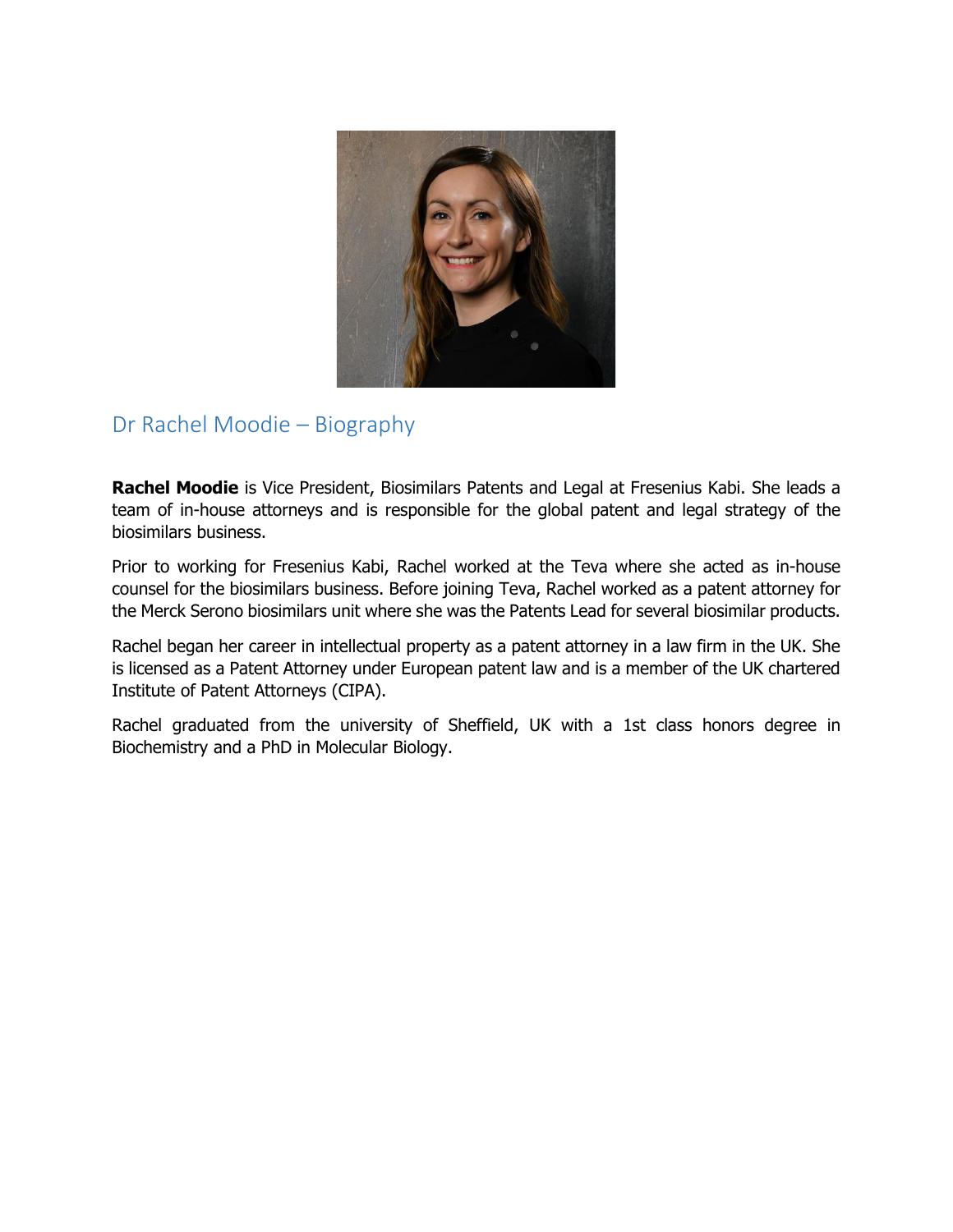

### Dr Rachel Moodie – Biography

**Rachel Moodie** is Vice President, Biosimilars Patents and Legal at Fresenius Kabi. She leads a team of in-house attorneys and is responsible for the global patent and legal strategy of the biosimilars business.

Prior to working for Fresenius Kabi, Rachel worked at the Teva where she acted as in-house counsel for the biosimilars business. Before joining Teva, Rachel worked as a patent attorney for the Merck Serono biosimilars unit where she was the Patents Lead for several biosimilar products.

Rachel began her career in intellectual property as a patent attorney in a law firm in the UK. She is licensed as a Patent Attorney under European patent law and is a member of the UK chartered Institute of Patent Attorneys (CIPA).

Rachel graduated from the university of Sheffield, UK with a 1st class honors degree in Biochemistry and a PhD in Molecular Biology.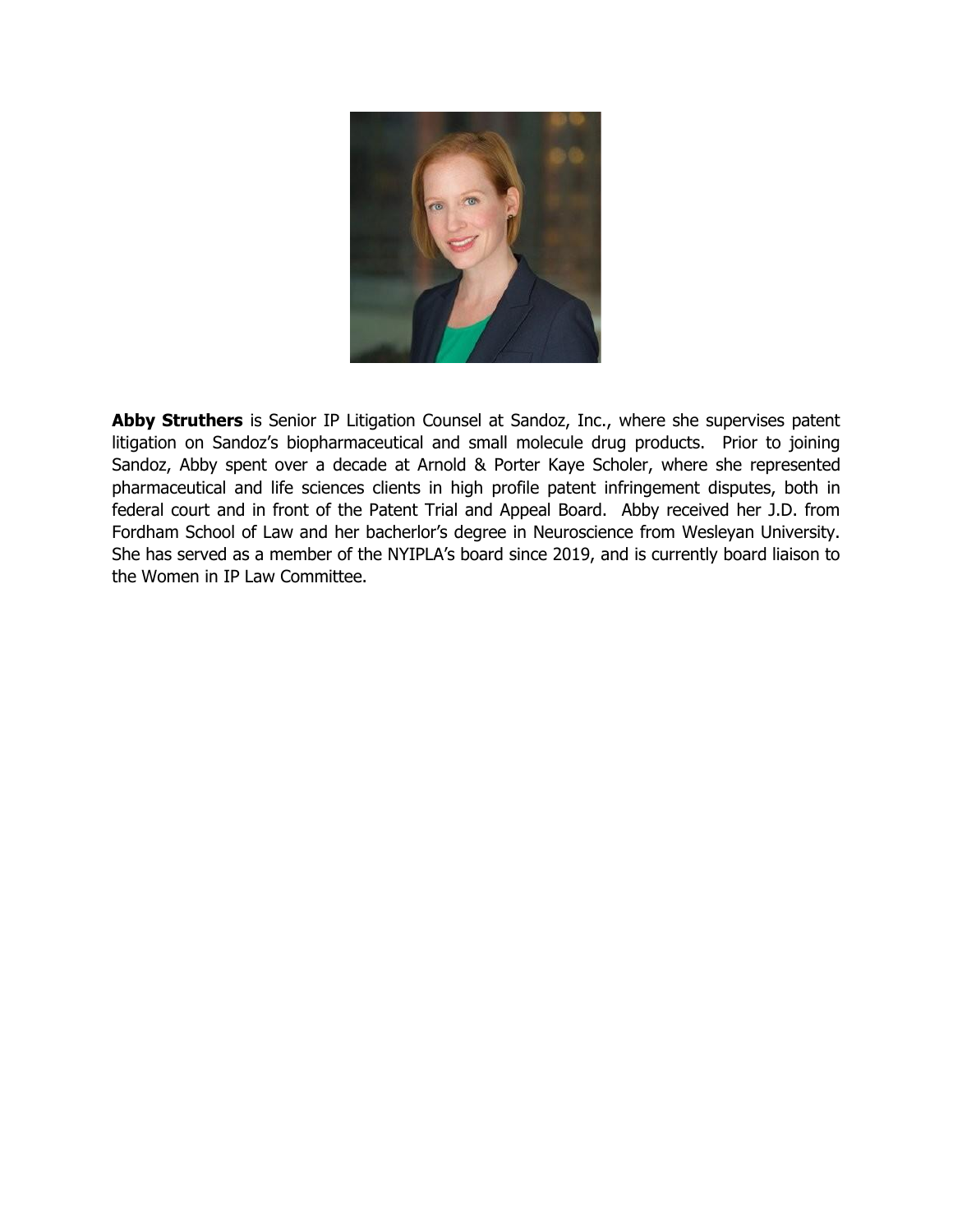

Abby Struthers is Senior IP Litigation Counsel at Sandoz, Inc., where she supervises patent litigation on Sandoz's biopharmaceutical and small molecule drug products. Prior to joining Sandoz, Abby spent over a decade at Arnold & Porter Kaye Scholer, where she represented pharmaceutical and life sciences clients in high profile patent infringement disputes, both in federal court and in front of the Patent Trial and Appeal Board. Abby received her J.D. from Fordham School of Law and her bacherlor's degree in Neuroscience from Wesleyan University. She has served as a member of the NYIPLA's board since 2019, and is currently board liaison to the Women in IP Law Committee.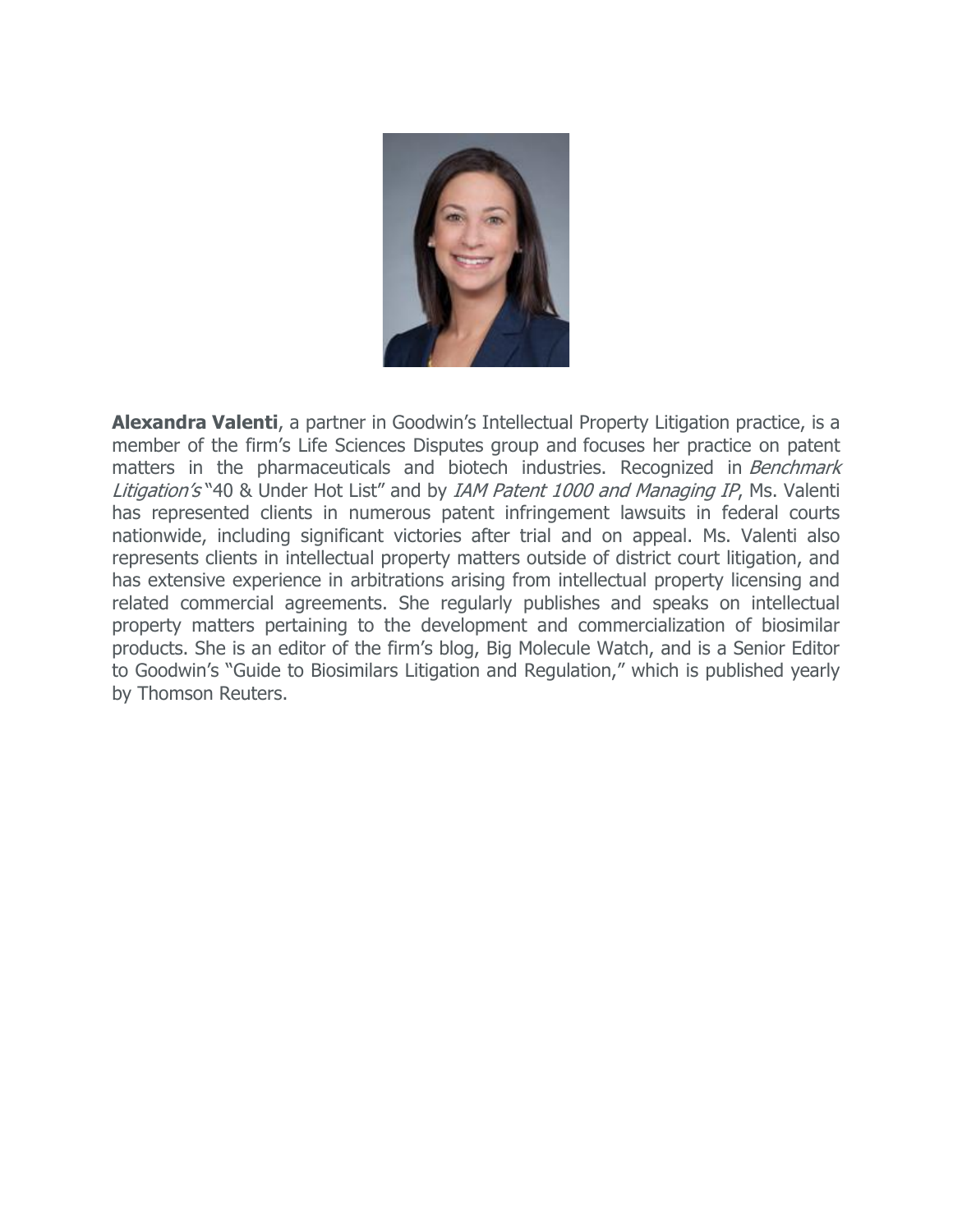

**Alexandra Valenti**, a partner in Goodwin's Intellectual Property Litigation practice, is a member of the firm's Life Sciences Disputes group and focuses her practice on patent matters in the pharmaceuticals and biotech industries. Recognized in Benchmark Litigation's "40 & Under Hot List" and by IAM Patent 1000 and Managing IP, Ms. Valenti has represented clients in numerous patent infringement lawsuits in federal courts nationwide, including significant victories after trial and on appeal. Ms. Valenti also represents clients in intellectual property matters outside of district court litigation, and has extensive experience in arbitrations arising from intellectual property licensing and related commercial agreements. She regularly publishes and speaks on intellectual property matters pertaining to the development and commercialization of biosimilar products. She is an editor of the firm's blog, Big Molecule Watch, and is a Senior Editor to Goodwin's "Guide to Biosimilars Litigation and Regulation," which is published yearly by Thomson Reuters.